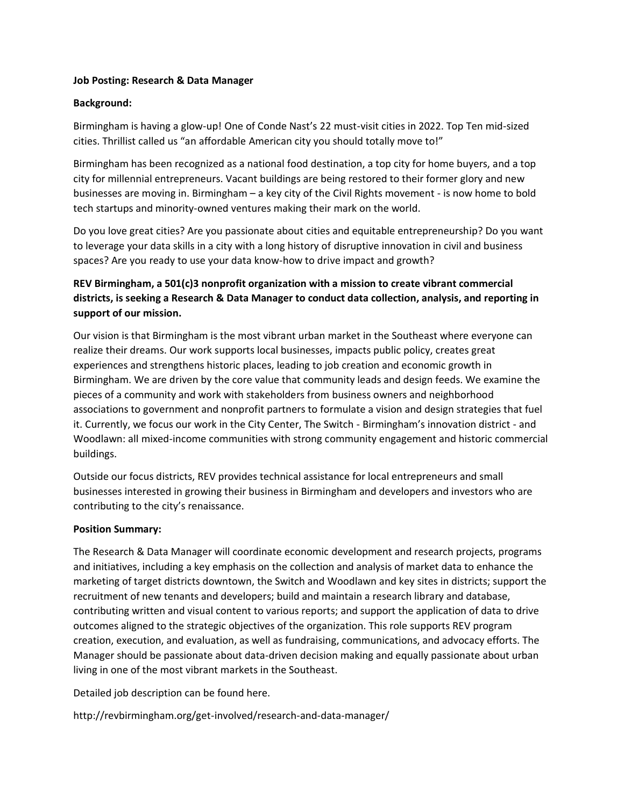## **Job Posting: Research & Data Manager**

## **Background:**

Birmingham is having a glow-up! One of Conde Nast's 22 must-visit cities in 2022. Top Ten mid-sized cities. Thrillist called us "an affordable American city you should totally move to!"

Birmingham has been recognized as a national food destination, a top city for home buyers, and a top city for millennial entrepreneurs. Vacant buildings are being restored to their former glory and new businesses are moving in. Birmingham – a key city of the Civil Rights movement - is now home to bold tech startups and minority-owned ventures making their mark on the world.

Do you love great cities? Are you passionate about cities and equitable entrepreneurship? Do you want to leverage your data skills in a city with a long history of disruptive innovation in civil and business spaces? Are you ready to use your data know-how to drive impact and growth?

## **REV Birmingham, a 501(c)3 nonprofit organization with a mission to create vibrant commercial districts, is seeking a Research & Data Manager to conduct data collection, analysis, and reporting in support of our mission.**

Our vision is that Birmingham is the most vibrant urban market in the Southeast where everyone can realize their dreams. Our work supports local businesses, impacts public policy, creates great experiences and strengthens historic places, leading to job creation and economic growth in Birmingham. We are driven by the core value that community leads and design feeds. We examine the pieces of a community and work with stakeholders from business owners and neighborhood associations to government and nonprofit partners to formulate a vision and design strategies that fuel it. Currently, we focus our work in the City Center, The Switch - Birmingham's innovation district - and Woodlawn: all mixed-income communities with strong community engagement and historic commercial buildings.

Outside our focus districts, REV provides technical assistance for local entrepreneurs and small businesses interested in growing their business in Birmingham and developers and investors who are contributing to the city's renaissance.

## **Position Summary:**

The Research & Data Manager will coordinate economic development and research projects, programs and initiatives, including a key emphasis on the collection and analysis of market data to enhance the marketing of target districts downtown, the Switch and Woodlawn and key sites in districts; support the recruitment of new tenants and developers; build and maintain a research library and database, contributing written and visual content to various reports; and support the application of data to drive outcomes aligned to the strategic objectives of the organization. This role supports REV program creation, execution, and evaluation, as well as fundraising, communications, and advocacy efforts. The Manager should be passionate about data-driven decision making and equally passionate about urban living in one of the most vibrant markets in the Southeast.

Detailed job description can be found here.

http://revbirmingham.org/get-involved/research-and-data-manager/